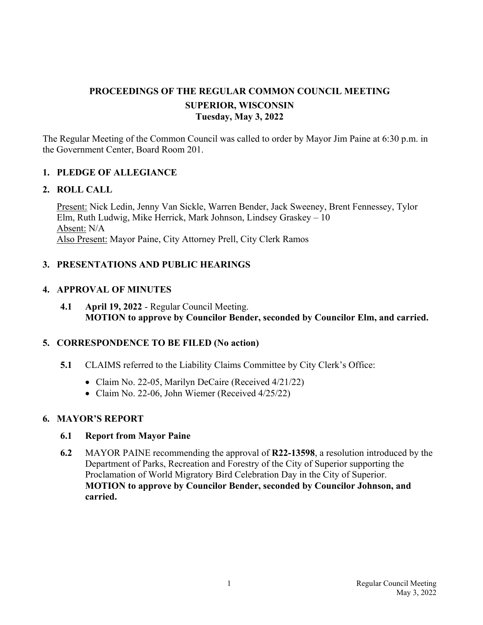# **PROCEEDINGS OF THE REGULAR COMMON COUNCIL MEETING SUPERIOR, WISCONSIN Tuesday, May 3, 2022**

The Regular Meeting of the Common Council was called to order by Mayor Jim Paine at 6:30 p.m. in the Government Center, Board Room 201.

### **1. PLEDGE OF ALLEGIANCE**

#### **2. ROLL CALL**

Present: Nick Ledin, Jenny Van Sickle, Warren Bender, Jack Sweeney, Brent Fennessey, Tylor Elm, Ruth Ludwig, Mike Herrick, Mark Johnson, Lindsey Graskey – 10 Absent: N/A Also Present: Mayor Paine, City Attorney Prell, City Clerk Ramos

### **3. PRESENTATIONS AND PUBLIC HEARINGS**

### **4. APPROVAL OF MINUTES**

**4.1 April 19, 2022** - Regular Council Meeting. **MOTION to approve by Councilor Bender, seconded by Councilor Elm, and carried.**

### **5. CORRESPONDENCE TO BE FILED (No action)**

- **5.1** CLAIMS referred to the Liability Claims Committee by City Clerk's Office:
	- Claim No. 22-05, Marilyn DeCaire (Received 4/21/22)
	- Claim No. 22-06, John Wiemer (Received 4/25/22)

### **6. MAYOR'S REPORT**

### **6.1 Report from Mayor Paine**

 **6.2** MAYOR PAINE recommending the approval of **R22-13598**, a resolution introduced by the Department of Parks, Recreation and Forestry of the City of Superior supporting the Proclamation of World Migratory Bird Celebration Day in the City of Superior. **MOTION to approve by Councilor Bender, seconded by Councilor Johnson, and carried.**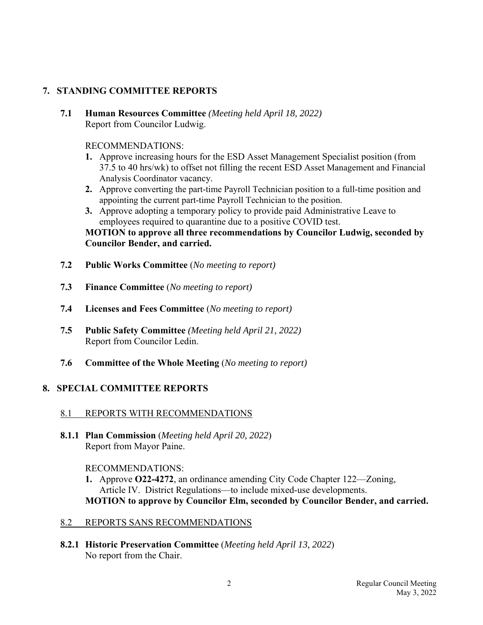# **7. STANDING COMMITTEE REPORTS**

 **7.1 Human Resources Committee** *(Meeting held April 18, 2022)* Report from Councilor Ludwig.

### RECOMMENDATIONS:

- **1.** Approve increasing hours for the ESD Asset Management Specialist position (from 37.5 to 40 hrs/wk) to offset not filling the recent ESD Asset Management and Financial Analysis Coordinator vacancy.
- **2.** Approve converting the part-time Payroll Technician position to a full-time position and appointing the current part-time Payroll Technician to the position.
- **3.** Approve adopting a temporary policy to provide paid Administrative Leave to employees required to quarantine due to a positive COVID test.

 **MOTION to approve all three recommendations by Councilor Ludwig, seconded by Councilor Bender, and carried.**

- **7.2 Public Works Committee** (*No meeting to report)*
- **7.3 Finance Committee** (*No meeting to report)*
- **7.4 Licenses and Fees Committee** (*No meeting to report)*
- **7.5 Public Safety Committee** *(Meeting held April 21, 2022)* Report from Councilor Ledin.
- **7.6 Committee of the Whole Meeting** (*No meeting to report)*

# **8. SPECIAL COMMITTEE REPORTS**

# 8.1 REPORTS WITH RECOMMENDATIONS

 **8.1.1 Plan Commission** (*Meeting held April 20, 2022*) Report from Mayor Paine.

### RECOMMENDATIONS:

- **1.** Approve **O22-4272**, an ordinance amending City Code Chapter 122—Zoning, Article IV. District Regulations—to include mixed-use developments.  **MOTION to approve by Councilor Elm, seconded by Councilor Bender, and carried.**
- 8.2 REPORTS SANS RECOMMENDATIONS
- **8.2.1 Historic Preservation Committee** (*Meeting held April 13, 2022*) No report from the Chair.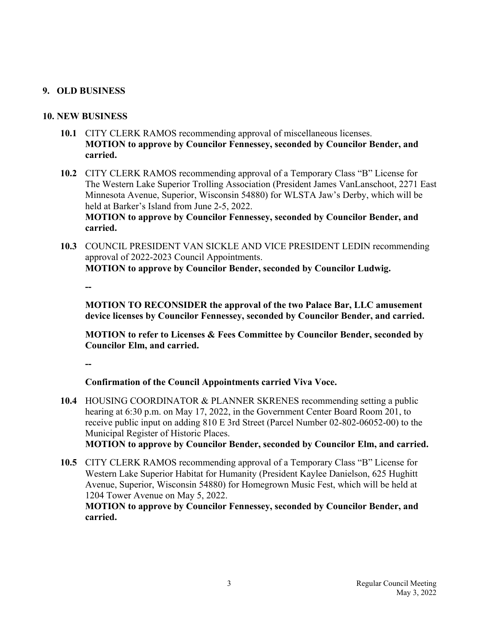## **9. OLD BUSINESS**

### **10. NEW BUSINESS**

- **10.1** CITY CLERK RAMOS recommending approval of miscellaneous licenses. **MOTION to approve by Councilor Fennessey, seconded by Councilor Bender, and carried.**
- **10.2** CITY CLERK RAMOS recommending approval of a Temporary Class "B" License for The Western Lake Superior Trolling Association (President James VanLanschoot, 2271 East Minnesota Avenue, Superior, Wisconsin 54880) for WLSTA Jaw's Derby, which will be held at Barker's Island from June 2-5, 2022. **MOTION to approve by Councilor Fennessey, seconded by Councilor Bender, and carried.**
- **10.3** COUNCIL PRESIDENT VAN SICKLE AND VICE PRESIDENT LEDIN recommending approval of 2022-2023 Council Appointments. **MOTION to approve by Councilor Bender, seconded by Councilor Ludwig.**

 **--** 

 **MOTION TO RECONSIDER the approval of the two Palace Bar, LLC amusement device licenses by Councilor Fennessey, seconded by Councilor Bender, and carried.** 

**MOTION to refer to Licenses & Fees Committee by Councilor Bender, seconded by Councilor Elm, and carried.**

 **--** 

 **Confirmation of the Council Appointments carried Viva Voce.** 

 **10.4** HOUSING COORDINATOR & PLANNER SKRENES recommending setting a public hearing at 6:30 p.m. on May 17, 2022, in the Government Center Board Room 201, to receive public input on adding 810 E 3rd Street (Parcel Number 02-802-06052-00) to the Municipal Register of Historic Places. **MOTION to approve by Councilor Bender, seconded by Councilor Elm, and carried.**

 **10.5** CITY CLERK RAMOS recommending approval of a Temporary Class "B" License for Western Lake Superior Habitat for Humanity (President Kaylee Danielson, 625 Hughitt Avenue, Superior, Wisconsin 54880) for Homegrown Music Fest, which will be held at 1204 Tower Avenue on May 5, 2022.

**MOTION to approve by Councilor Fennessey, seconded by Councilor Bender, and carried.**